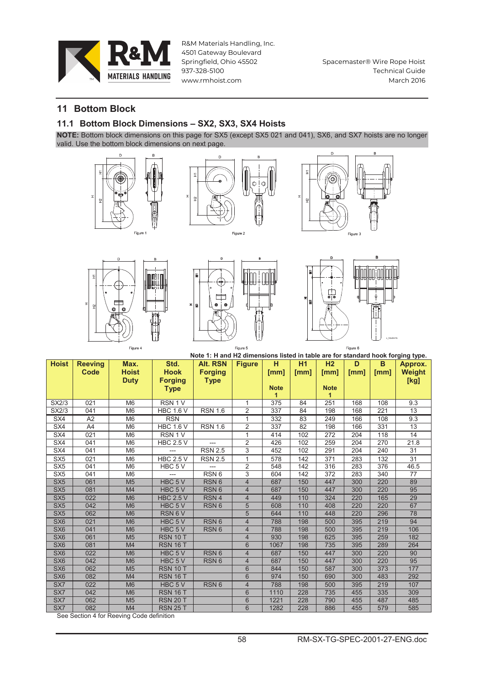

Spacemaster® Wire Rope Hoist **Technical Guide March 2016** 

## **11 Bottom Block**

#### 11.1 Bottom Block Dimensions - SX2, SX3, SX4 Hoists

NOTE: Bottom block dimensions on this page for SX5 (except SX5 021 and 041), SX6, and SX7 hoists are no longer valid. Use the bottom block dimensions on next page.













|                 |                | Note 1: H and H2 dimensions listed in table are for standard hook forging type. |                    |                  |                |             |      |                |      |      |                 |
|-----------------|----------------|---------------------------------------------------------------------------------|--------------------|------------------|----------------|-------------|------|----------------|------|------|-----------------|
| <b>Hoist</b>    | <b>Reeving</b> | Max.                                                                            | Std.               | <b>Alt. RSN</b>  | <b>Figure</b>  | н           | H1   | H <sub>2</sub> | D    | B    | Approx.         |
|                 | Code           | <b>Hoist</b>                                                                    | <b>Hook</b>        | <b>Forging</b>   |                | [mm]        | [mm] | [mm]           | [mm] | [mm] | <b>Weight</b>   |
|                 |                | <b>Duty</b>                                                                     | <b>Forging</b>     | <b>Type</b>      |                |             |      |                |      |      | [kg]            |
|                 |                |                                                                                 | <b>Type</b>        |                  |                | <b>Note</b> |      | <b>Note</b>    |      |      |                 |
|                 |                |                                                                                 |                    |                  |                | 1           |      | 1              |      |      |                 |
| SX2/3           | 021            | M <sub>6</sub>                                                                  | RSN 1 V            |                  | 1              | 375         | 84   | 251            | 168  | 108  | 9.3             |
| SX2/3           | 041            | M <sub>6</sub>                                                                  | <b>HBC 1.6 V</b>   | <b>RSN 1.6</b>   | $\overline{2}$ | 337         | 84   | 198            | 168  | 221  | 13              |
| SX4             | A <sub>2</sub> | M <sub>6</sub>                                                                  | <b>RSN</b>         |                  |                | 332         | 83   | 249            | 166  | 108  | 9.3             |
| SX4             | A4             | M <sub>6</sub>                                                                  | <b>HBC 1.6 V</b>   | <b>RSN 1.6</b>   | 2              | 337         | 82   | 198            | 166  | 331  | 13              |
| SX4             | 021            | M <sub>6</sub>                                                                  | RSN <sub>1</sub> V |                  | 1              | 414         | 102  | 272            | 204  | 118  | $\overline{14}$ |
| SX4             | 041            | M <sub>6</sub>                                                                  | <b>HBC 2.5 V</b>   |                  | $\overline{2}$ | 426         | 102  | 259            | 204  | 270  | 21.8            |
| SX4             | 041            | M <sub>6</sub>                                                                  | ---                | <b>RSN 2.5</b>   | $\overline{3}$ | 452         | 102  | 291            | 204  | 240  | 31              |
| SX <sub>5</sub> | 021            | M <sub>6</sub>                                                                  | <b>HBC 2.5 V</b>   | <b>RSN 2.5</b>   |                | 578         | 142  | 371            | 283  | 132  | 31              |
| SX <sub>5</sub> | 041            | M <sub>6</sub>                                                                  | HBC 5 V            | ---              | $\overline{2}$ | 548         | 142  | 316            | 283  | 376  | 46.5            |
| SX <sub>5</sub> | 041            | M <sub>6</sub>                                                                  |                    | RSN <sub>6</sub> | $\overline{3}$ | 604         | 142  | 372            | 283  | 340  | 77              |
| SX <sub>5</sub> | 061            | M <sub>5</sub>                                                                  | HBC <sub>5</sub> V | RSN <sub>6</sub> | $\overline{4}$ | 687         | 150  | 447            | 300  | 220  | 89              |
| SX <sub>5</sub> | 081            | M <sub>4</sub>                                                                  | HBC 5 V            | RSN <sub>6</sub> | $\overline{4}$ | 687         | 150  | 447            | 300  | 220  | 95              |
| SX <sub>5</sub> | 022            | M <sub>6</sub>                                                                  | <b>HBC 2.5 V</b>   | RSN <sub>4</sub> | $\overline{4}$ | 449         | 110  | 324            | 220  | 165  | 29              |
| SX <sub>5</sub> | 042            | M <sub>6</sub>                                                                  | HBC 5V             | RSN <sub>6</sub> | 5              | 608         | 110  | 408            | 220  | 220  | 67              |
| SX <sub>5</sub> | 062            | M <sub>6</sub>                                                                  | RSN 6 V            |                  | $\overline{5}$ | 644         | 110  | 448            | 220  | 296  | 78              |
| SX <sub>6</sub> | 021            | M <sub>6</sub>                                                                  | HBC <sub>5</sub> V | RSN <sub>6</sub> | $\overline{4}$ | 788         | 198  | 500            | 395  | 219  | 94              |
| SX <sub>6</sub> | 041            | M <sub>6</sub>                                                                  | HBC <sub>5</sub> V | RSN <sub>6</sub> | $\overline{4}$ | 788         | 198  | 500            | 395  | 219  | 106             |
| SX <sub>6</sub> | 061            | M <sub>5</sub>                                                                  | <b>RSN 10 T</b>    |                  | $\overline{4}$ | 930         | 198  | 625            | 395  | 259  | 182             |
| SX <sub>6</sub> | 081            | M <sub>4</sub>                                                                  | <b>RSN 16 T</b>    |                  | 6              | 1067        | 198  | 735            | 395  | 289  | 264             |
| SX <sub>6</sub> | 022            | M <sub>6</sub>                                                                  | HBC <sub>5</sub> V | RSN <sub>6</sub> | $\overline{4}$ | 687         | 150  | 447            | 300  | 220  | 90              |
| SX <sub>6</sub> | 042            | M <sub>6</sub>                                                                  | HBC 5 V            | RSN <sub>6</sub> | $\overline{4}$ | 687         | 150  | 447            | 300  | 220  | 95              |
| SX <sub>6</sub> | 062            | M <sub>5</sub>                                                                  | <b>RSN 10 T</b>    |                  | 6              | 844         | 150  | 587            | 300  | 373  | 177             |
| SX <sub>6</sub> | 082            | M <sub>4</sub>                                                                  | <b>RSN 16 T</b>    |                  | 6              | 974         | 150  | 690            | 300  | 483  | 292             |
| SX7             | 022            | M <sub>6</sub>                                                                  | HBC 5 V            | RSN <sub>6</sub> | $\overline{4}$ | 788         | 198  | 500            | 395  | 219  | 107             |
| SX7             | 042            | M <sub>6</sub>                                                                  | <b>RSN 16 T</b>    |                  | 6              | 1110        | 228  | 735            | 455  | 335  | 309             |
| SX7             | 062            | M <sub>5</sub>                                                                  | <b>RSN 20 T</b>    |                  | 6              | 1221        | 228  | 790            | 455  | 487  | 485             |
| SX7             | 082            | M <sub>4</sub>                                                                  | <b>RSN 25 T</b>    |                  | $6\phantom{1}$ | 1282        | 228  | 886            | 455  | 579  | 585             |

See Section 4 for Reeving Code definition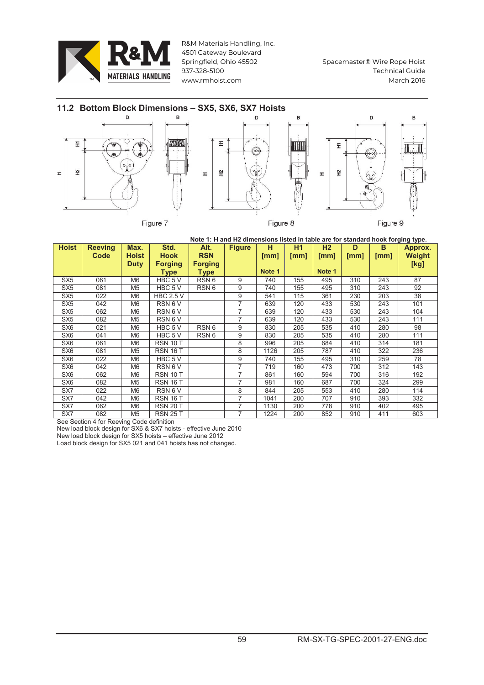

Spacemaster® Wire Rope Hoist **Technical Guide March 2016** 



Note 1: H and H2 dimensions listed in table are for standard hook forging type.

| <b>Hoist</b>    | <b>Reeving</b><br>Code | Max.<br><b>Hoist</b> | Std.<br><b>Hook</b>           | Alt.<br><b>RSN</b>            | <b>Figure</b> | н<br>[mm] | Η1<br>[mm] | H <sub>2</sub><br>[mm] | D<br>[mm] | в<br>[mm] | Approx.<br>Weight |
|-----------------|------------------------|----------------------|-------------------------------|-------------------------------|---------------|-----------|------------|------------------------|-----------|-----------|-------------------|
|                 |                        | <b>Duty</b>          | <b>Forging</b><br><b>Type</b> | <b>Forging</b><br><b>Type</b> |               | Note 1    |            | Note 1                 |           |           | [kg]              |
| SX <sub>5</sub> | 061                    | M <sub>6</sub>       | HBC 5 V                       | RSN <sub>6</sub>              | 9             | 740       | 155        | 495                    | 310       | 243       | 87                |
| SX <sub>5</sub> | 081                    | M <sub>5</sub>       | HBC 5 V                       | RSN <sub>6</sub>              | 9             | 740       | 155        | 495                    | 310       | 243       | 92                |
| SX <sub>5</sub> | 022                    | M <sub>6</sub>       | <b>HBC 2.5 V</b>              |                               | 9             | 541       | 115        | 361                    | 230       | 203       | 38                |
| SX <sub>5</sub> | 042                    | M <sub>6</sub>       | RSN 6 V                       |                               | 7             | 639       | 120        | 433                    | 530       | 243       | 101               |
| SX <sub>5</sub> | 062                    | M <sub>6</sub>       | RSN 6 V                       |                               | 7             | 639       | 120        | 433                    | 530       | 243       | 104               |
| SX <sub>5</sub> | 082                    | M <sub>5</sub>       | RSN 6 V                       |                               | 7             | 639       | 120        | 433                    | 530       | 243       | 111               |
| SX <sub>6</sub> | 021                    | M <sub>6</sub>       | HBC 5 V                       | RSN <sub>6</sub>              | 9             | 830       | 205        | 535                    | 410       | 280       | 98                |
| SX <sub>6</sub> | 041                    | M <sub>6</sub>       | HBC 5 V                       | RSN <sub>6</sub>              | 9             | 830       | 205        | 535                    | 410       | 280       | 111               |
| SX <sub>6</sub> | 061                    | M6                   | <b>RSN 10 T</b>               |                               | 8             | 996       | 205        | 684                    | 410       | 314       | 181               |
| SX <sub>6</sub> | 081                    | M <sub>5</sub>       | <b>RSN 16 T</b>               |                               | 8             | 1126      | 205        | 787                    | 410       | 322       | 236               |
| SX <sub>6</sub> | 022                    | M <sub>6</sub>       | HBC 5 V                       |                               | 9             | 740       | 155        | 495                    | 310       | 259       | 78                |
| SX <sub>6</sub> | 042                    | M <sub>6</sub>       | RSN 6 V                       |                               | 7             | 719       | 160        | 473                    | 700       | 312       | 143               |
| SX <sub>6</sub> | 062                    | M <sub>6</sub>       | <b>RSN 10 T</b>               |                               | 7             | 861       | 160        | 594                    | 700       | 316       | 192               |
| SX <sub>6</sub> | 082                    | M <sub>5</sub>       | <b>RSN 16 T</b>               |                               | 7             | 981       | 160        | 687                    | 700       | 324       | 299               |
| SX7             | 022                    | M <sub>6</sub>       | RSN 6 V                       |                               | 8             | 844       | 205        | 553                    | 410       | 280       | 114               |
| SX7             | 042                    | M <sub>6</sub>       | <b>RSN 16 T</b>               |                               | 7             | 1041      | 200        | 707                    | 910       | 393       | 332               |
| SX7             | 062                    | M <sub>6</sub>       | <b>RSN 20 T</b>               |                               | 7             | 1130      | 200        | 778                    | 910       | 402       | 495               |
| SX7             | 082                    | M <sub>5</sub>       | <b>RSN 25 T</b>               |                               | 7             | 1224      | 200        | 852                    | 910       | 411       | 603               |

See Section 4 for Reeving Code definition

New load block design for SX6 & SX7 hoists - effective June 2010 New load block design for SX5 hoists – effective June 2012<br>Load block design for SX5 hoists – effective June 2012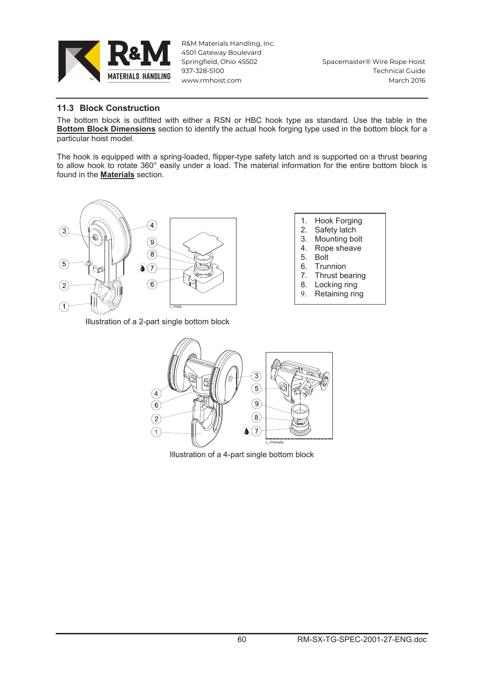

Spacemaster® Wire Rope Hoist **Technical Guide March 2016** 

## 11.3 Block Construction

The bottom block is outfitted with either a RSN or HBC hook type as standard. Use the table in the **Bottom Block Dimensions** section to identify the actual hook forging type used in the bottom block for a particular hoist model.

The hook is equipped with a spring-loaded, flipper-type safety latch and is supported on a thrust bearing to allow hook to rotate 360° easily under a load. The material information for the entire bottom block is found in the Materials section.



Illustration of a 2-part single bottom block

- 1. Hook Forging
- 2. Safety latch
- 3. Mounting bolt
- 4. Rope sheave
- 5. Bolt
- 6. Trunnion
- 7. Thrust bearing
- 8. Locking ring
- 9. Retaining ring



Illustration of a 4-part single bottom block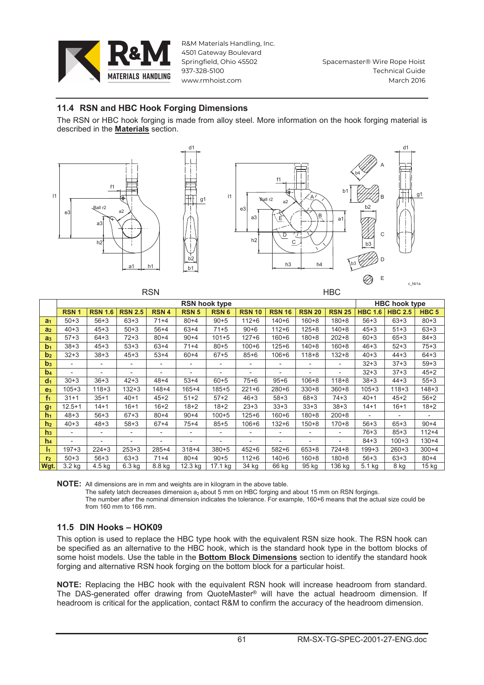

Spacemaster® Wire Rope Hoist **Technical Guide March 2016** 

## 11.4 RSN and HBC Hook Forging Dimensions

DON

 $\overline{d}$ 1

 $q1$ 

The RSN or HBC hook forging is made from alloy steel. More information on the hook forging material is described in the **Materials** section.





|                | יוטח                     |                          |                          |                          |                       |                          | <b>NDV</b>    |                              |                          |                          |                |                          |                          |  |
|----------------|--------------------------|--------------------------|--------------------------|--------------------------|-----------------------|--------------------------|---------------|------------------------------|--------------------------|--------------------------|----------------|--------------------------|--------------------------|--|
|                | <b>RSN</b> hook type     |                          |                          |                          |                       |                          |               |                              |                          |                          |                | <b>HBC hook type</b>     |                          |  |
|                | <b>RSN1</b>              | <b>RSN 1.6</b>           | <b>RSN 2.5</b>           | <b>RSN4</b>              | <b>RSN 5</b>          | <b>RSN6</b>              | <b>RSN 10</b> | <b>RSN 16</b>                | <b>RSN 20</b>            | <b>RSN 25</b>            | <b>HBC 1.6</b> | <b>HBC 2.5</b>           | HBC <sub>5</sub>         |  |
| a <sub>1</sub> | $50 + 3$                 | $56 + 3$                 | $63 + 3$                 | $71 + 4$                 | $80 + 4$              | $90 + 5$                 | $112 + 6$     | $140 + 6$                    | $160 + 8$                | $180 + 8$                | $56 + 3$       | $63 + 3$                 | $80 + 3$                 |  |
| a <sub>2</sub> | $40 + 3$                 | $45 + 3$                 | $50 + 3$                 | $56 + 4$                 | $63+4$                | $71 + 5$                 | $90 + 6$      | $112 + 6$                    | $125 + 8$                | $140 + 8$                | $45 + 3$       | $51 + 3$                 | $63 + 3$                 |  |
| a <sub>3</sub> | $57 + 3$                 | $64 + 3$                 | $72 + 3$                 | $80 + 4$                 | $90 + 4$              | $101 + 5$                | $127 + 6$     | $160 + 6$                    | $180 + 8$                | $202 + 8$                | $60 + 3$       | $65 + 3$                 | $84 + 3$                 |  |
| b <sub>1</sub> | $38 + 3$                 | $45 + 3$                 | $53 + 3$                 | $63+4$                   | $71+4$                | $80 + 5$                 | $100 + 6$     | $125 + 6$                    | $140 + 8$                | $160 + 8$                | $46 + 3$       | $52 + 3$                 | $75 + 3$                 |  |
| b <sub>2</sub> | $32 + 3$                 | $38 + 3$                 | $45 + 3$                 | $53+4$                   | $60 + 4$              | $67 + 5$                 | $85 + 6$      | $106 + 6$                    | $118 + 8$                | $132 + 8$                | $40 + 3$       | $44 + 3$                 | $64 + 3$                 |  |
| b <sub>3</sub> | $\overline{\phantom{a}}$ | $\overline{\phantom{0}}$ | $\overline{\phantom{a}}$ | $\overline{\phantom{a}}$ |                       | $\overline{\phantom{a}}$ |               | ۰                            |                          | $\overline{\phantom{a}}$ | $32 + 3$       | $37 + 3$                 | $59 + 3$                 |  |
| b <sub>4</sub> | $\overline{a}$           | $\overline{\phantom{0}}$ | $\overline{\phantom{0}}$ | $\overline{\phantom{0}}$ | -                     | $\overline{\phantom{0}}$ |               |                              |                          |                          | $32 + 3$       | $37 + 3$                 | $45 + 2$                 |  |
| d <sub>1</sub> | $30 + 3$                 | $36 + 3$                 | $42 + 3$                 | $48 + 4$                 | $53+4$                | $60 + 5$                 | $75 + 6$      | $95 + 6$                     | $106 + 8$                | $118 + 8$                | $38 + 3$       | $44 + 3$                 | $55 + 3$                 |  |
| e <sub>3</sub> | $105 + 3$                | $118 + 3$                | $132 + 3$                | $148 + 4$                | $165 + 4$             | $185 + 5$                | $221 + 6$     | $280 + 6$                    | $330 + 8$                | $360 + 8$                | $105 + 3$      | $118 + 3$                | $148 + 3$                |  |
| f <sub>1</sub> | $31 + 1$                 | $35 + 1$                 | $40+1$                   | $45 + 2$                 | $51 + 2$              | $57 + 2$                 | $46 + 3$      | $58 + 3$                     | $68 + 3$                 | $74 + 3$                 | $40 + 1$       | $45 + 2$                 | $56 + 2$                 |  |
| g <sub>1</sub> | $12.5 + 1$               | $14 + 1$                 | $16 + 1$                 | $16 + 2$                 | $18 + 2$              | $18 + 2$                 | $23 + 3$      | $33 + 3$                     | $33 + 3$                 | $38 + 3$                 | $14 + 1$       | $16 + 1$                 | $18 + 2$                 |  |
| h <sub>1</sub> | $48 + 3$                 | $56 + 3$                 | $67 + 3$                 | $80 + 4$                 | $90 + 4$              | $100 + 5$                | $125 + 6$     | $160 + 6$                    | $180 + 8$                | $200 + 8$                |                | $\overline{\phantom{a}}$ | $\overline{\phantom{a}}$ |  |
| h <sub>2</sub> | $40 + 3$                 | $48 + 3$                 | $58 + 3$                 | $67 + 4$                 | $75+4$                | $85 + 5$                 | $106 + 6$     | $132 + 6$                    | $150 + 8$                | $170 + 8$                | $56 + 3$       | $65 + 3$                 | $90 + 4$                 |  |
| h <sub>3</sub> | $\overline{\phantom{a}}$ | $\overline{\phantom{0}}$ | $\overline{\phantom{a}}$ | $\overline{\phantom{a}}$ |                       | $\overline{\phantom{a}}$ |               | $\qquad \qquad \blacksquare$ | $\overline{\phantom{0}}$ | $\overline{\phantom{a}}$ | $76 + 3$       | $85 + 3$                 | $112 + 4$                |  |
| h <sub>4</sub> |                          | $\overline{\phantom{0}}$ | $\overline{\phantom{0}}$ | -                        |                       | $\overline{\phantom{a}}$ |               |                              |                          | $\overline{\phantom{0}}$ | $84 + 3$       | $100 + 3$                | $130 + 4$                |  |
| I <sub>1</sub> | $197 + 3$                | $224 + 3$                | $253 + 3$                | $285 + 4$                | $318 + 4$             | $380 + 5$                | $452 + 6$     | $582 + 6$                    | $653 + 8$                | $724 + 8$                | $199 + 3$      | $260 + 3$                | $300 + 4$                |  |
| r <sub>2</sub> | $50 + 3$                 | $56 + 3$                 | $63 + 3$                 | $71+4$                   | $80 + 4$              | $90 + 5$                 | $112 + 6$     | $140 + 6$                    | $160 + 8$                | $180 + 8$                | $56 + 3$       | $63 + 3$                 | $80 + 4$                 |  |
| Wgt.           | 3.2 kg                   | 4.5 kg                   | $6.3$ kg                 | 8.8 kg                   | $\overline{1}$ 2.3 kg | 17.1 kg                  | 34 kg         | $66$ kg                      | $\overline{95}$ kg       | $\overline{136}$ kg      | 5.1 kg         | 8 kg                     | $15$ kg                  |  |

NOTE: All dimensions are in mm and weights are in kilogram in the above table.

The safety latch decreases dimension a<sub>2</sub> about 5 mm on HBC forging and about 15 mm on RSN forgings.<br>The safety latch decreases dimension a<sub>2</sub> about 5 mm on HBC forging and about 15 mm on RSN forgings. from  $160 \text{ mm}$  to  $166 \text{ mm}$ 

# 11.5 DIN Hooks - HOK09

This option is used to replace the HBC type hook with the equivalent RSN size hook. The RSN hook can be specified as an alternative to the HBC hook, which is the standard hook type in the bottom blocks of some hoist models. Use the table in the Bottom Block Dimensions section to identify the standard hook forging and alternative RSN hook forging on the bottom block for a particular hoist.

NOTE: Replacing the HBC hook with the equivalent RSN hook will increase headroom from standard. The DAS-generated offer drawing from QuoteMaster® will have the actual headroom dimension. If headroom is critical for the application, contact R&M to confirm the accuracy of the headroom dimension.